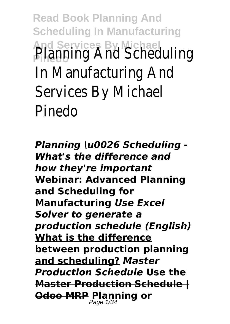**Read Book Planning And Scheduling In Manufacturing And Services By Michael** Planning And Scheduling In Manufacturing And Services By Michael Pinedo

*Planning \u0026 Scheduling - What's the difference and how they're important* **Webinar: Advanced Planning and Scheduling for Manufacturing** *Use Excel Solver to generate a production schedule (English)* **What is the difference between production planning and scheduling?** *Master Production Schedule* **Use the Master Production Schedule | Odoo MRP Planning or** Page 1/34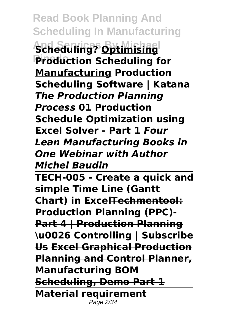**Read Book Planning And Scheduling In Manufacturing And Services By Michael Scheduling? Optimising Production Scheduling for Manufacturing Production Scheduling Software | Katana** *The Production Planning Process* **01 Production Schedule Optimization using Excel Solver - Part 1** *Four Lean Manufacturing Books in One Webinar with Author Michel Baudin*

**TECH-005 - Create a quick and simple Time Line (Gantt Chart) in ExcelTechmentool: Production Planning (PPC)- Part 4 | Production Planning \u0026 Controlling | Subscribe Us Excel Graphical Production Planning and Control Planner, Manufacturing BOM Scheduling, Demo Part 1 Material requirement** Page 2/34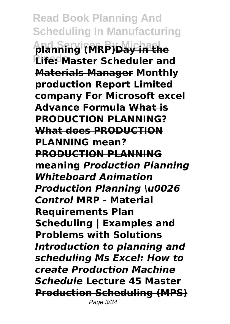**Read Book Planning And Scheduling In Manufacturing And Services By Michael planning (MRP)Day in the Life: Master Scheduler and Materials Manager Monthly production Report Limited company For Microsoft excel Advance Formula What is PRODUCTION PLANNING? What does PRODUCTION PLANNING mean? PRODUCTION PLANNING meaning** *Production Planning Whiteboard Animation Production Planning \u0026 Control* **MRP - Material Requirements Plan Scheduling | Examples and Problems with Solutions**  *Introduction to planning and scheduling Ms Excel: How to create Production Machine Schedule* **Lecture 45 Master Production Scheduling (MPS)** Page 3/34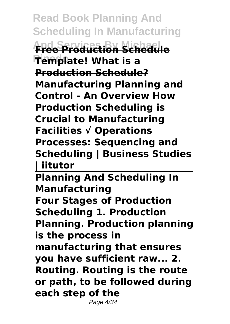**Read Book Planning And Scheduling In Manufacturing And Services By Michael Free Production Schedule Pinedo Template! What is a Production Schedule? Manufacturing Planning and Control - An Overview How Production Scheduling is Crucial to Manufacturing Facilities √ Operations Processes: Sequencing and Scheduling | Business Studies | iitutor** 

**Planning And Scheduling In Manufacturing Four Stages of Production Scheduling 1. Production Planning. Production planning is the process in manufacturing that ensures you have sufficient raw... 2. Routing. Routing is the route or path, to be followed during each step of the** Page 4/34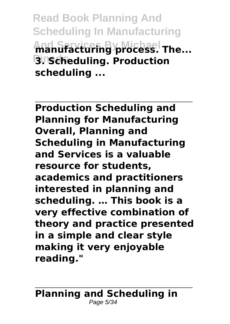**Read Book Planning And Scheduling In Manufacturing And Services By Michael manufacturing process. The... Pinedo 3. Scheduling. Production scheduling ...**

**Production Scheduling and Planning for Manufacturing Overall, Planning and Scheduling in Manufacturing and Services is a valuable resource for students, academics and practitioners interested in planning and scheduling. … This book is a very effective combination of theory and practice presented in a simple and clear style making it very enjoyable reading."**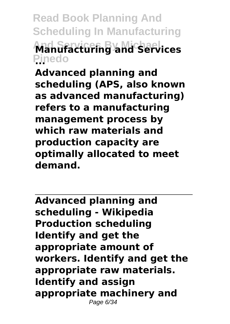**Read Book Planning And Scheduling In Manufacturing And Services By Michael Manufacturing and Services Pinedo ...**

**Advanced planning and scheduling (APS, also known as advanced manufacturing) refers to a manufacturing management process by which raw materials and production capacity are optimally allocated to meet demand.**

**Advanced planning and scheduling - Wikipedia Production scheduling Identify and get the appropriate amount of workers. Identify and get the appropriate raw materials. Identify and assign appropriate machinery and** Page 6/34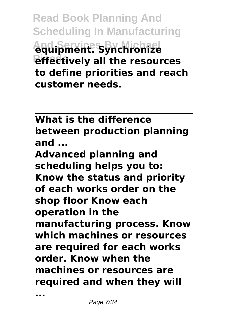**Read Book Planning And Scheduling In Manufacturing And Services By Michael equipment. Synchronize** *<u>effectively</u>* all the resources **to define priorities and reach customer needs.**

**What is the difference between production planning and ...**

**Advanced planning and scheduling helps you to: Know the status and priority of each works order on the shop floor Know each operation in the manufacturing process. Know which machines or resources are required for each works order. Know when the machines or resources are required and when they will**

**...**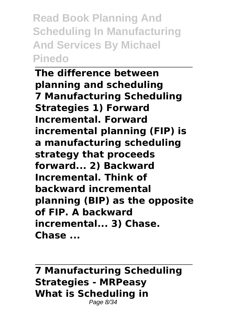**Read Book Planning And Scheduling In Manufacturing And Services By Michael Pinedo**

**The difference between planning and scheduling 7 Manufacturing Scheduling Strategies 1) Forward Incremental. Forward incremental planning (FIP) is a manufacturing scheduling strategy that proceeds forward... 2) Backward Incremental. Think of backward incremental planning (BIP) as the opposite of FIP. A backward incremental... 3) Chase. Chase ...**

**7 Manufacturing Scheduling Strategies - MRPeasy What is Scheduling in** Page 8/34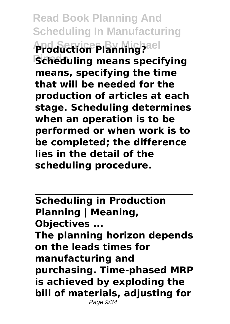**Read Book Planning And Scheduling In Manufacturing And Services By Michael Production Planning? Scheduling means specifying means, specifying the time that will be needed for the production of articles at each stage. Scheduling determines when an operation is to be performed or when work is to be completed; the difference lies in the detail of the scheduling procedure.**

**Scheduling in Production Planning | Meaning, Objectives ... The planning horizon depends on the leads times for manufacturing and purchasing. Time-phased MRP is achieved by exploding the bill of materials, adjusting for** Page 9/34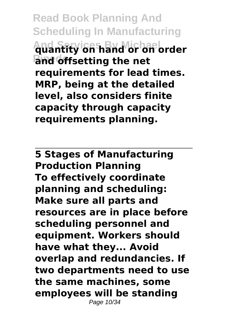**Read Book Planning And Scheduling In Manufacturing And Services By Michael quantity on hand or on order Pinedo and offsetting the net requirements for lead times. MRP, being at the detailed level, also considers finite capacity through capacity requirements planning.**

**5 Stages of Manufacturing Production Planning To effectively coordinate planning and scheduling: Make sure all parts and resources are in place before scheduling personnel and equipment. Workers should have what they... Avoid overlap and redundancies. If two departments need to use the same machines, some employees will be standing** Page 10/34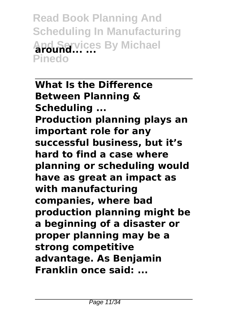**Read Book Planning And Scheduling In Manufacturing And Services By Michael around... ... Pinedo**

**What Is the Difference Between Planning & Scheduling ... Production planning plays an important role for any successful business, but it's hard to find a case where planning or scheduling would have as great an impact as with manufacturing companies, where bad production planning might be a beginning of a disaster or proper planning may be a strong competitive advantage. As Benjamin Franklin once said: ...**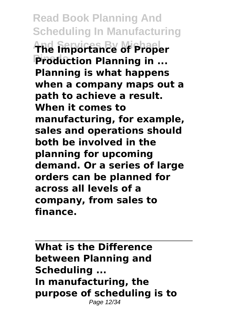**Read Book Planning And Scheduling In Manufacturing And Services By Michael The Importance of Proper Production Planning in ... Planning is what happens when a company maps out a path to achieve a result. When it comes to manufacturing, for example, sales and operations should both be involved in the planning for upcoming demand. Or a series of large orders can be planned for across all levels of a company, from sales to finance.**

**What is the Difference between Planning and Scheduling ... In manufacturing, the purpose of scheduling is to** Page 12/34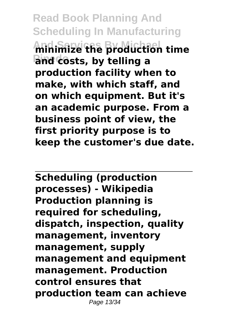**Read Book Planning And Scheduling In Manufacturing And Services By Michael minimize the production time Pinedo and costs, by telling a production facility when to make, with which staff, and on which equipment. But it's an academic purpose. From a business point of view, the first priority purpose is to keep the customer's due date.**

**Scheduling (production processes) - Wikipedia Production planning is required for scheduling, dispatch, inspection, quality management, inventory management, supply management and equipment management. Production control ensures that production team can achieve** Page 13/34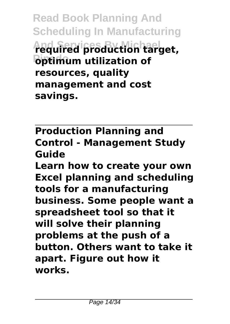**Read Book Planning And Scheduling In Manufacturing And Services By Michael required production target, Pinedo optimum utilization of resources, quality management and cost savings.**

**Production Planning and Control - Management Study Guide**

**Learn how to create your own Excel planning and scheduling tools for a manufacturing business. Some people want a spreadsheet tool so that it will solve their planning problems at the push of a button. Others want to take it apart. Figure out how it works.**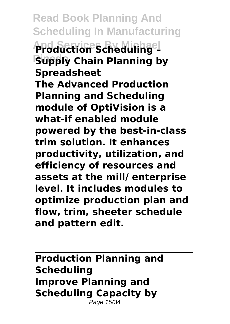**Read Book Planning And Scheduling In Manufacturing And Services By Michael Production Scheduling – Supply Chain Planning by Spreadsheet The Advanced Production Planning and Scheduling module of OptiVision is a what-if enabled module powered by the best-in-class trim solution. It enhances productivity, utilization, and efficiency of resources and assets at the mill/ enterprise level. It includes modules to optimize production plan and flow, trim, sheeter schedule and pattern edit.**

**Production Planning and Scheduling Improve Planning and Scheduling Capacity by** Page 15/34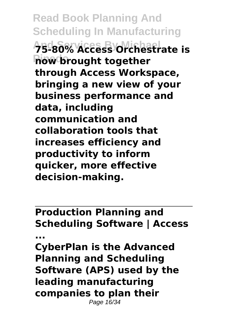**Read Book Planning And Scheduling In Manufacturing And Services By Michael 75-80% Access Orchestrate is how brought together through Access Workspace, bringing a new view of your business performance and data, including communication and collaboration tools that increases efficiency and productivity to inform quicker, more effective decision-making.**

**Production Planning and Scheduling Software | Access**

**... CyberPlan is the Advanced Planning and Scheduling Software (APS) used by the leading manufacturing companies to plan their** Page 16/34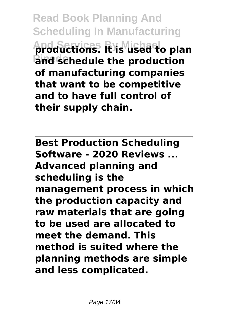**Read Book Planning And Scheduling In Manufacturing And Services By Michael productions. It is used to plan And schedule the production of manufacturing companies that want to be competitive and to have full control of their supply chain.**

**Best Production Scheduling Software - 2020 Reviews ... Advanced planning and scheduling is the management process in which the production capacity and raw materials that are going to be used are allocated to meet the demand. This method is suited where the planning methods are simple and less complicated.**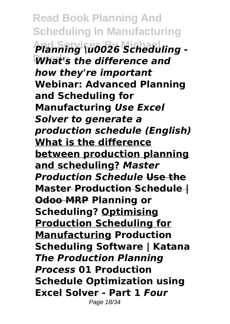**Read Book Planning And Scheduling In Manufacturing** Planning \u0026 Scheduling -What's the difference and *how they're important* **Webinar: Advanced Planning and Scheduling for Manufacturing** *Use Excel Solver to generate a production schedule (English)* **What is the difference between production planning and scheduling?** *Master Production Schedule* **Use the Master Production Schedule | Odoo MRP Planning or Scheduling? Optimising Production Scheduling for Manufacturing Production Scheduling Software | Katana** *The Production Planning Process* **01 Production Schedule Optimization using Excel Solver - Part 1** *Four* Page 18/34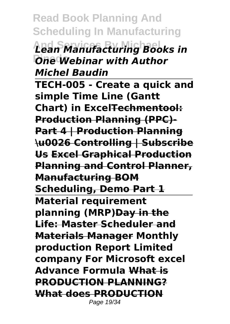**Read Book Planning And Scheduling In Manufacturing And Services By Michael** *Lean Manufacturing Books in* **Pinedo** *One Webinar with Author Michel Baudin*

**TECH-005 - Create a quick and simple Time Line (Gantt Chart) in ExcelTechmentool: Production Planning (PPC)- Part 4 | Production Planning \u0026 Controlling | Subscribe Us Excel Graphical Production Planning and Control Planner, Manufacturing BOM Scheduling, Demo Part 1 Material requirement planning (MRP)Day in the Life: Master Scheduler and Materials Manager Monthly production Report Limited company For Microsoft excel Advance Formula What is PRODUCTION PLANNING? What does PRODUCTION**

Page 19/34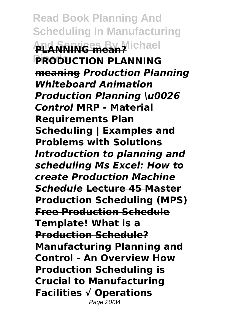**Read Book Planning And Scheduling In Manufacturing ALANNING mean?** lichael **Pinedo PRODUCTION PLANNING meaning** *Production Planning Whiteboard Animation Production Planning \u0026 Control* **MRP - Material Requirements Plan Scheduling | Examples and Problems with Solutions**  *Introduction to planning and scheduling Ms Excel: How to create Production Machine Schedule* **Lecture 45 Master Production Scheduling (MPS) Free Production Schedule Template! What is a Production Schedule? Manufacturing Planning and Control - An Overview How Production Scheduling is Crucial to Manufacturing Facilities √ Operations** Page 20/34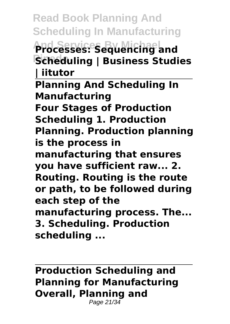**Read Book Planning And Scheduling In Manufacturing And Services By Michael Processes: Sequencing and Pinedo Scheduling | Business Studies | iitutor Planning And Scheduling In Manufacturing Four Stages of Production Scheduling 1. Production Planning. Production planning is the process in manufacturing that ensures you have sufficient raw... 2. Routing. Routing is the route or path, to be followed during each step of the manufacturing process. The... 3. Scheduling. Production scheduling ...**

**Production Scheduling and Planning for Manufacturing Overall, Planning and** Page 21/34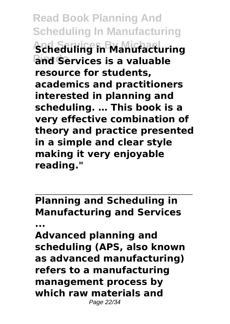**Read Book Planning And Scheduling In Manufacturing And Services By Michael Scheduling in Manufacturing** and Services is a valuable **resource for students, academics and practitioners interested in planning and scheduling. … This book is a very effective combination of theory and practice presented in a simple and clear style making it very enjoyable reading."**

**Planning and Scheduling in Manufacturing and Services**

**...**

**Advanced planning and scheduling (APS, also known as advanced manufacturing) refers to a manufacturing management process by which raw materials and** Page 22/34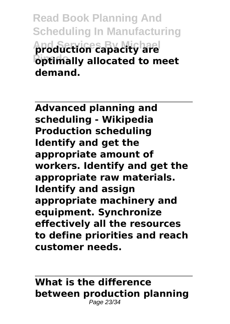**Read Book Planning And Scheduling In Manufacturing And Services By Michael production capacity are Pinedo optimally allocated to meet demand.**

**Advanced planning and scheduling - Wikipedia Production scheduling Identify and get the appropriate amount of workers. Identify and get the appropriate raw materials. Identify and assign appropriate machinery and equipment. Synchronize effectively all the resources to define priorities and reach customer needs.**

## **What is the difference between production planning** Page 23/34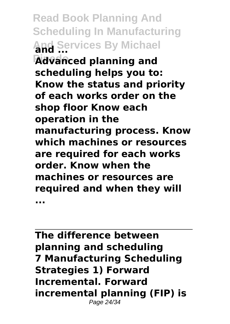**Read Book Planning And Scheduling In Manufacturing And Services By Michael and ... Pinedo Advanced planning and scheduling helps you to: Know the status and priority of each works order on the shop floor Know each operation in the manufacturing process. Know which machines or resources are required for each works order. Know when the machines or resources are required and when they will ...**

**The difference between planning and scheduling 7 Manufacturing Scheduling Strategies 1) Forward Incremental. Forward incremental planning (FIP) is** Page 24/34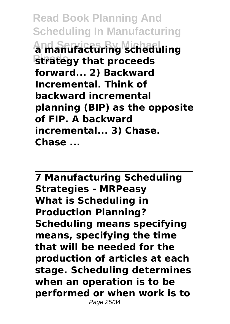**Read Book Planning And Scheduling In Manufacturing And Services By Michael a manufacturing scheduling Strategy that proceeds forward... 2) Backward Incremental. Think of backward incremental planning (BIP) as the opposite of FIP. A backward incremental... 3) Chase. Chase ...**

**7 Manufacturing Scheduling Strategies - MRPeasy What is Scheduling in Production Planning? Scheduling means specifying means, specifying the time that will be needed for the production of articles at each stage. Scheduling determines when an operation is to be performed or when work is to** Page 25/34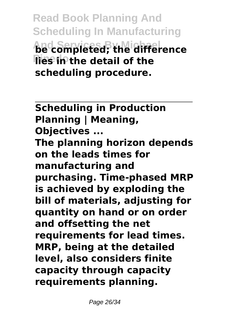**Read Book Planning And Scheduling In Manufacturing And Services By Michael be completed; the difference Ries in the detail of the scheduling procedure.**

**Scheduling in Production Planning | Meaning, Objectives ... The planning horizon depends on the leads times for manufacturing and purchasing. Time-phased MRP is achieved by exploding the bill of materials, adjusting for quantity on hand or on order and offsetting the net requirements for lead times. MRP, being at the detailed level, also considers finite capacity through capacity requirements planning.**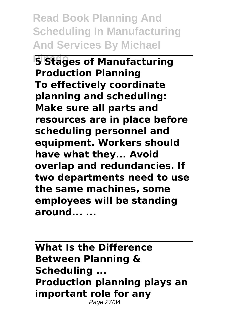**Read Book Planning And Scheduling In Manufacturing And Services By Michael**

**5 Stages of Manufacturing Production Planning To effectively coordinate planning and scheduling: Make sure all parts and resources are in place before scheduling personnel and equipment. Workers should have what they... Avoid overlap and redundancies. If two departments need to use the same machines, some employees will be standing around... ...**

**What Is the Difference Between Planning & Scheduling ... Production planning plays an important role for any** Page 27/34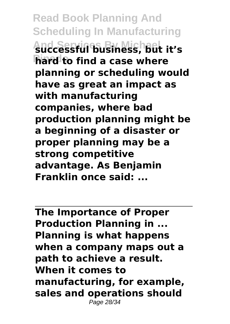**Read Book Planning And Scheduling In Manufacturing And Services By Michael successful business, but it's hard to find a case where planning or scheduling would have as great an impact as with manufacturing companies, where bad production planning might be a beginning of a disaster or proper planning may be a strong competitive advantage. As Benjamin Franklin once said: ...**

**The Importance of Proper Production Planning in ... Planning is what happens when a company maps out a path to achieve a result. When it comes to manufacturing, for example, sales and operations should** Page 28/34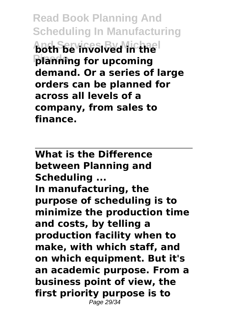**Read Book Planning And Scheduling In Manufacturing And Services By Michael both be involved in the Pinedo planning for upcoming demand. Or a series of large orders can be planned for across all levels of a company, from sales to finance.**

**What is the Difference between Planning and Scheduling ... In manufacturing, the purpose of scheduling is to minimize the production time and costs, by telling a production facility when to make, with which staff, and on which equipment. But it's an academic purpose. From a business point of view, the first priority purpose is to** Page 29/34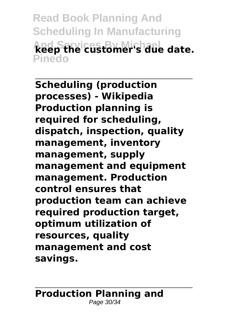**Read Book Planning And Scheduling In Manufacturing And Services By Michael keep the customer's due date. Pinedo**

**Scheduling (production processes) - Wikipedia Production planning is required for scheduling, dispatch, inspection, quality management, inventory management, supply management and equipment management. Production control ensures that production team can achieve required production target, optimum utilization of resources, quality management and cost savings.**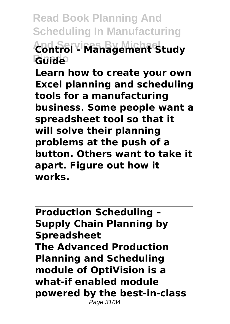**Read Book Planning And Scheduling In Manufacturing And Services By Michael Control - Management Study Pinedo Guide**

**Learn how to create your own Excel planning and scheduling tools for a manufacturing business. Some people want a spreadsheet tool so that it will solve their planning problems at the push of a button. Others want to take it apart. Figure out how it works.**

**Production Scheduling – Supply Chain Planning by Spreadsheet The Advanced Production Planning and Scheduling module of OptiVision is a what-if enabled module powered by the best-in-class** Page 31/34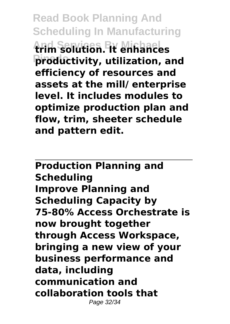**Read Book Planning And Scheduling In Manufacturing And Services By Michael trim solution. It enhances Pinedo productivity, utilization, and efficiency of resources and assets at the mill/ enterprise level. It includes modules to optimize production plan and flow, trim, sheeter schedule and pattern edit.**

**Production Planning and Scheduling Improve Planning and Scheduling Capacity by 75-80% Access Orchestrate is now brought together through Access Workspace, bringing a new view of your business performance and data, including communication and collaboration tools that** Page 32/34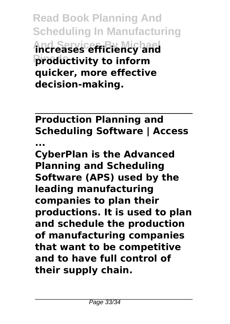**Read Book Planning And Scheduling In Manufacturing And Services By Michael increases efficiency and Pinedo productivity to inform quicker, more effective decision-making.**

**Production Planning and Scheduling Software | Access ...**

**CyberPlan is the Advanced Planning and Scheduling Software (APS) used by the leading manufacturing companies to plan their productions. It is used to plan and schedule the production of manufacturing companies that want to be competitive and to have full control of their supply chain.**